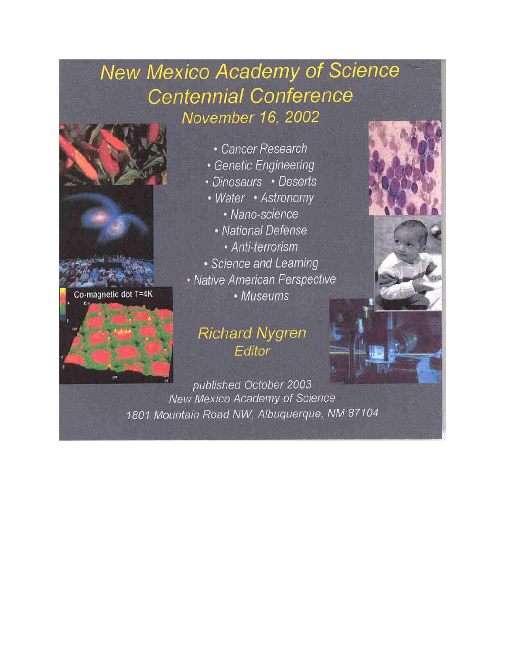## **New Mexico Academy of Science Centennial Conference** November 16, 2002



Co-magnetic dot T=4K

## **Richard Nygren** Editor

published October 2003 New Mexico Academy of Science 1801 Mountain Road NW, Albuquerque, NM 87104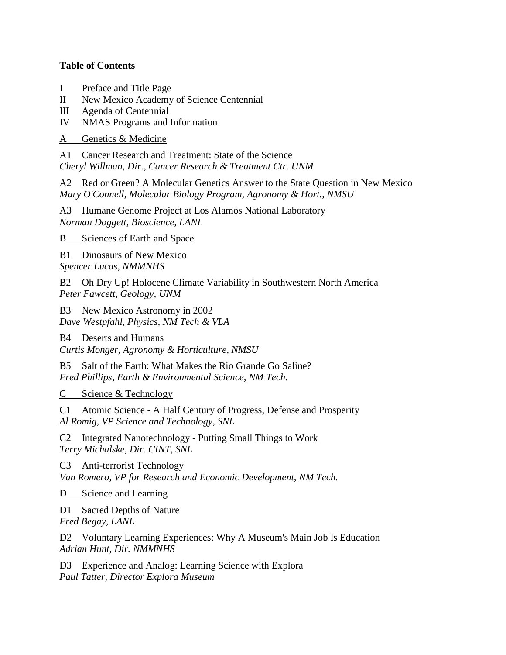## **Table of Contents**

- I Preface and Title Page
- II New Mexico Academy of Science Centennial
- III Agenda of Centennial
- IV NMAS Programs and Information

A Genetics & Medicine

A1 Cancer Research and Treatment: State of the Science *Cheryl Willman, Dir., Cancer Research & Treatment Ctr. UNM*

A2 Red or Green? A Molecular Genetics Answer to the State Question in New Mexico *Mary O'Connell, Molecular Biology Program, Agronomy & Hort., NMSU*

A3 Humane Genome Project at Los Alamos National Laboratory *Norman Doggett, Bioscience, LANL*

B Sciences of Earth and Space

B1 Dinosaurs of New Mexico *Spencer Lucas, NMMNHS*

B2 Oh Dry Up! Holocene Climate Variability in Southwestern North America *Peter Fawcett, Geology, UNM*

B3 New Mexico Astronomy in 2002 *Dave Westpfahl, Physics, NM Tech & VLA*

B4 Deserts and Humans

*Curtis Monger, Agronomy & Horticulture, NMSU*

B5 Salt of the Earth: What Makes the Rio Grande Go Saline? *Fred Phillips, Earth & Environmental Science, NM Tech.*

C Science & Technology

C1 Atomic Science - A Half Century of Progress, Defense and Prosperity *Al Romig, VP Science and Technology, SNL*

C2 Integrated Nanotechnology - Putting Small Things to Work *Terry Michalske, Dir. CINT, SNL*

C3 Anti-terrorist Technology *Van Romero, VP for Research and Economic Development, NM Tech.*

D Science and Learning

D1 Sacred Depths of Nature *Fred Begay, LANL*

D2 Voluntary Learning Experiences: Why A Museum's Main Job Is Education *Adrian Hunt, Dir. NMMNHS*

D3 Experience and Analog: Learning Science with Explora *Paul Tatter, Director Explora Museum*